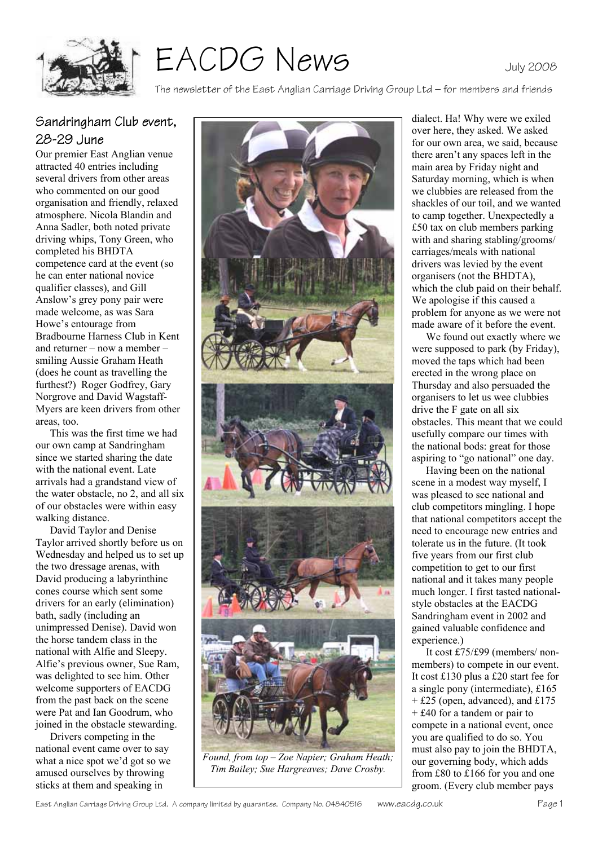

EACDG News

#### The newsletter of the East Anglian Carriage Driving Group Ltd – for members and friends

## Sandringham Club event, 28-29 June

Our premier East Anglian venue attracted 40 entries including several drivers from other areas who commented on our good organisation and friendly, relaxed atmosphere. Nicola Blandin and Anna Sadler, both noted private driving whips, Tony Green, who completed his BHDTA competence card at the event (so he can enter national novice qualifier classes), and Gill Anslow's grey pony pair were made welcome, as was Sara Howe's entourage from Bradbourne Harness Club in Kent and returner – now a member – smiling Aussie Graham Heath (does he count as travelling the furthest?) Roger Godfrey, Gary Norgrove and David Wagstaff-Myers are keen drivers from other areas, too.

 This was the first time we had our own camp at Sandringham since we started sharing the date with the national event. Late arrivals had a grandstand view of the water obstacle, no 2, and all six of our obstacles were within easy walking distance.

 David Taylor and Denise Taylor arrived shortly before us on Wednesday and helped us to set up the two dressage arenas, with David producing a labyrinthine cones course which sent some drivers for an early (elimination) bath, sadly (including an unimpressed Denise). David won the horse tandem class in the national with Alfie and Sleepy. Alfie's previous owner, Sue Ram, was delighted to see him. Other welcome supporters of EACDG from the past back on the scene were Pat and Ian Goodrum, who joined in the obstacle stewarding.

 Drivers competing in the national event came over to say what a nice spot we'd got so we amused ourselves by throwing sticks at them and speaking in



*Found, from top – Zoe Napier; Graham Heath; Tim Bailey; Sue Hargreaves; Dave Crosby.* 

dialect. Ha! Why were we exiled over here, they asked. We asked for our own area, we said, because there aren't any spaces left in the main area by Friday night and Saturday morning, which is when we clubbies are released from the shackles of our toil, and we wanted to camp together. Unexpectedly a £50 tax on club members parking with and sharing stabling/grooms/ carriages/meals with national drivers was levied by the event organisers (not the BHDTA), which the club paid on their behalf. We apologise if this caused a problem for anyone as we were not made aware of it before the event.

 We found out exactly where we were supposed to park (by Friday), moved the taps which had been erected in the wrong place on Thursday and also persuaded the organisers to let us wee clubbies drive the F gate on all six obstacles. This meant that we could usefully compare our times with the national bods: great for those aspiring to "go national" one day.

 Having been on the national scene in a modest way myself, I was pleased to see national and club competitors mingling. I hope that national competitors accept the need to encourage new entries and tolerate us in the future. (It took five years from our first club competition to get to our first national and it takes many people much longer. I first tasted nationalstyle obstacles at the EACDG Sandringham event in 2002 and gained valuable confidence and experience.)

 It cost £75/£99 (members/ nonmembers) to compete in our event. It cost £130 plus a £20 start fee for a single pony (intermediate), £165 + £25 (open, advanced), and £175 + £40 for a tandem or pair to compete in a national event, once you are qualified to do so. You must also pay to join the BHDTA, our governing body, which adds from £80 to £166 for you and one groom. (Every club member pays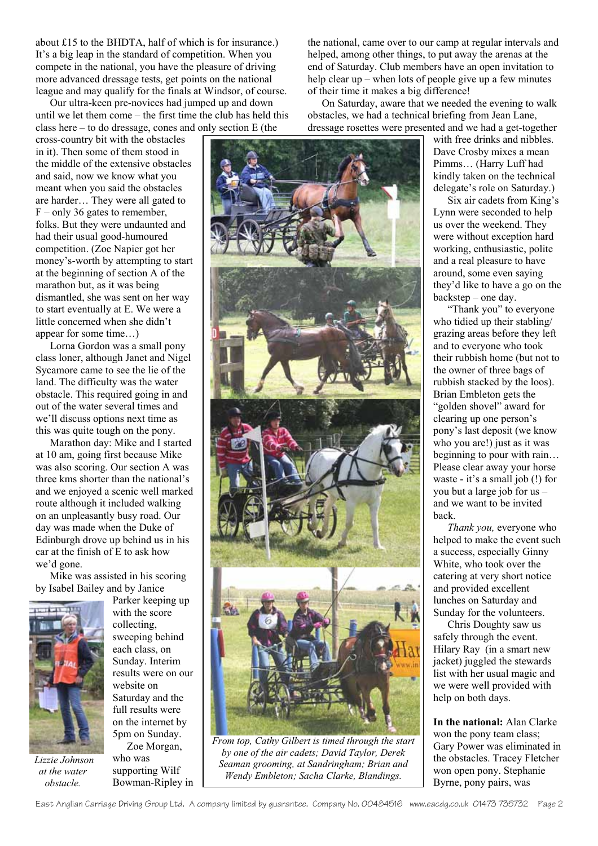about £15 to the BHDTA, half of which is for insurance.) It's a big leap in the standard of competition. When you compete in the national, you have the pleasure of driving more advanced dressage tests, get points on the national league and may qualify for the finals at Windsor, of course.

 Our ultra-keen pre-novices had jumped up and down until we let them come – the first time the club has held this class here – to do dressage, cones and only section E (the

cross-country bit with the obstacles in it). Then some of them stood in the middle of the extensive obstacles and said, now we know what you meant when you said the obstacles are harder… They were all gated to  $F$  – only 36 gates to remember, folks. But they were undaunted and had their usual good-humoured competition. (Zoe Napier got her money's-worth by attempting to start at the beginning of section A of the marathon but, as it was being dismantled, she was sent on her way to start eventually at E. We were a little concerned when she didn't appear for some time…)

 Lorna Gordon was a small pony class loner, although Janet and Nigel Sycamore came to see the lie of the land. The difficulty was the water obstacle. This required going in and out of the water several times and we'll discuss options next time as this was quite tough on the pony.

 Marathon day: Mike and I started at 10 am, going first because Mike was also scoring. Our section A was three kms shorter than the national's and we enjoyed a scenic well marked route although it included walking on an unpleasantly busy road. Our day was made when the Duke of Edinburgh drove up behind us in his car at the finish of E to ask how we'd gone.

 Mike was assisted in his scoring by Isabel Bailey and by Janice



 *Lizzie Johnson at the water obstacle.* 

Parker keeping up with the score collecting, sweeping behind each class, on Sunday. Interim results were on our website on Saturday and the full results were on the internet by 5pm on Sunday.

 Zoe Morgan, who was supporting Wilf Bowman-Ripley in the national, came over to our camp at regular intervals and helped, among other things, to put away the arenas at the end of Saturday. Club members have an open invitation to help clear up – when lots of people give up a few minutes of their time it makes a big difference!

 On Saturday, aware that we needed the evening to walk obstacles, we had a technical briefing from Jean Lane, dressage rosettes were presented and we had a get-together



*From top, Cathy Gilbert is timed through the start by one of the air cadets; David Taylor, Derek Seaman grooming, at Sandringham; Brian and Wendy Embleton; Sacha Clarke, Blandings.* 

with free drinks and nibbles. Dave Crosby mixes a mean Pimms… (Harry Luff had kindly taken on the technical delegate's role on Saturday.)

 Six air cadets from King's Lynn were seconded to help us over the weekend. They were without exception hard working, enthusiastic, polite and a real pleasure to have around, some even saying they'd like to have a go on the backstep – one day.

 "Thank you" to everyone who tidied up their stabling/ grazing areas before they left and to everyone who took their rubbish home (but not to the owner of three bags of rubbish stacked by the loos). Brian Embleton gets the "golden shovel" award for clearing up one person's pony's last deposit (we know who you are!) just as it was beginning to pour with rain… Please clear away your horse waste - it's a small job (!) for you but a large job for us – and we want to be invited back.

*Thank you,* everyone who helped to make the event such a success, especially Ginny White, who took over the catering at very short notice and provided excellent lunches on Saturday and Sunday for the volunteers.

 Chris Doughty saw us safely through the event. Hilary Ray (in a smart new jacket) juggled the stewards list with her usual magic and we were well provided with help on both days.

**In the national:** Alan Clarke won the pony team class; Gary Power was eliminated in the obstacles. Tracey Fletcher won open pony. Stephanie Byrne, pony pairs, was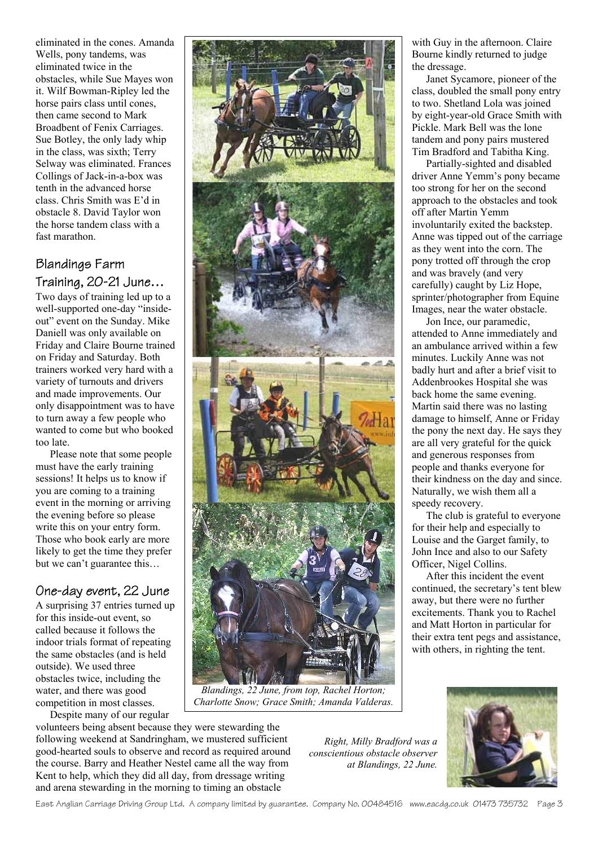eliminated in the cones. Amanda Wells, pony tandems, was eliminated twice in the obstacles, while Sue Mayes won it. Wilf Bowman-Ripley led the horse pairs class until cones, then came second to Mark Broadbent of Fenix Carriages. Sue Botley, the only lady whip in the class, was sixth; Terry Selway was eliminated. Frances Collings of Jack-in-a-box was tenth in the advanced horse class. Chris Smith was E'd in obstacle 8. David Taylor won the horse tandem class with a fast marathon.

# Blandings Farm Training, 20-21 June…

Two days of training led up to a well-supported one-day "insideout" event on the Sunday. Mike Daniell was only available on Friday and Claire Bourne trained on Friday and Saturday. Both trainers worked very hard with a variety of turnouts and drivers and made improvements. Our only disappointment was to have to turn away a few people who wanted to come but who booked too late.

 Please note that some people must have the early training sessions! It helps us to know if you are coming to a training event in the morning or arriving the evening before so please write this on your entry form. Those who book early are more likely to get the time they prefer but we can't guarantee this…

# One-day event, 22 June

A surprising 37 entries turned up for this inside-out event, so called because it follows the indoor trials format of repeating the same obstacles (and is held outside). We used three obstacles twice, including the water, and there was good competition in most classes.

Despite many of our regular



*Blandings, 22 June, from top, Rachel Horton; Charlotte Snow; Grace Smith; Amanda Valderas.* 

with Guy in the afternoon. Claire Bourne kindly returned to judge the dressage.

 Janet Sycamore, pioneer of the class, doubled the small pony entry to two. Shetland Lola was joined by eight-year-old Grace Smith with Pickle. Mark Bell was the lone tandem and pony pairs mustered Tim Bradford and Tabitha King.

 Partially-sighted and disabled driver Anne Yemm's pony became too strong for her on the second approach to the obstacles and took off after Martin Yemm involuntarily exited the backstep. Anne was tipped out of the carriage as they went into the corn. The pony trotted off through the crop and was bravely (and very carefully) caught by Liz Hope, sprinter/photographer from Equine Images, near the water obstacle.

 Jon Ince, our paramedic, attended to Anne immediately and an ambulance arrived within a few minutes. Luckily Anne was not badly hurt and after a brief visit to Addenbrookes Hospital she was back home the same evening. Martin said there was no lasting damage to himself, Anne or Friday the pony the next day. He says they are all very grateful for the quick and generous responses from people and thanks everyone for their kindness on the day and since. Naturally, we wish them all a speedy recovery.

 The club is grateful to everyone for their help and especially to Louise and the Garget family, to John Ince and also to our Safety Officer, Nigel Collins.

 After this incident the event continued, the secretary's tent blew away, but there were no further excitements. Thank you to Rachel and Matt Horton in particular for their extra tent pegs and assistance, with others, in righting the tent.



volunteers being absent because they were stewarding the following weekend at Sandringham, we mustered sufficient good-hearted souls to observe and record as required around the course. Barry and Heather Nestel came all the way from Kent to help, which they did all day, from dressage writing and arena stewarding in the morning to timing an obstacle

*Right, Milly Bradford was a conscientious obstacle observer at Blandings, 22 June.*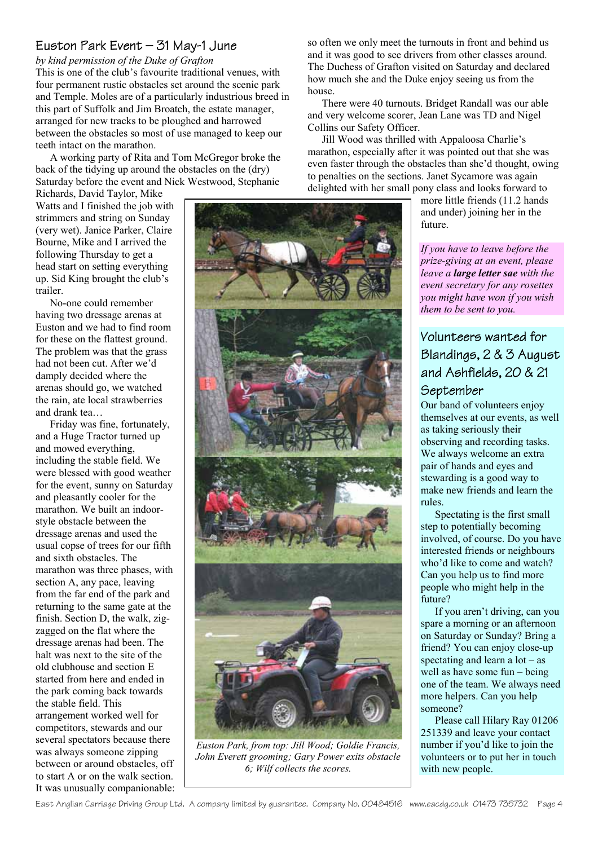## Euston Park Event – 31 May-1 June

*by kind permission of the Duke of Grafton* 

This is one of the club's favourite traditional venues, with four permanent rustic obstacles set around the scenic park and Temple. Moles are of a particularly industrious breed in this part of Suffolk and Jim Broatch, the estate manager, arranged for new tracks to be ploughed and harrowed between the obstacles so most of use managed to keep our teeth intact on the marathon.

 A working party of Rita and Tom McGregor broke the back of the tidying up around the obstacles on the (dry) Saturday before the event and Nick Westwood, Stephanie

Richards, David Taylor, Mike Watts and I finished the job with strimmers and string on Sunday (very wet). Janice Parker, Claire Bourne, Mike and I arrived the following Thursday to get a head start on setting everything up. Sid King brought the club's trailer.

 No-one could remember having two dressage arenas at Euston and we had to find room for these on the flattest ground. The problem was that the grass had not been cut. After we'd damply decided where the arenas should go, we watched the rain, ate local strawberries and drank tea…

 Friday was fine, fortunately, and a Huge Tractor turned up and mowed everything, including the stable field. We were blessed with good weather for the event, sunny on Saturday and pleasantly cooler for the marathon. We built an indoorstyle obstacle between the dressage arenas and used the usual copse of trees for our fifth and sixth obstacles. The marathon was three phases, with section A, any pace, leaving from the far end of the park and returning to the same gate at the finish. Section D, the walk, zigzagged on the flat where the dressage arenas had been. The halt was next to the site of the old clubhouse and section E started from here and ended in the park coming back towards the stable field. This arrangement worked well for competitors, stewards and our several spectators because there was always someone zipping between or around obstacles, off to start A or on the walk section. It was unusually companionable: so often we only meet the turnouts in front and behind us and it was good to see drivers from other classes around. The Duchess of Grafton visited on Saturday and declared how much she and the Duke enjoy seeing us from the house.

 There were 40 turnouts. Bridget Randall was our able and very welcome scorer, Jean Lane was TD and Nigel Collins our Safety Officer.

 Jill Wood was thrilled with Appaloosa Charlie's marathon, especially after it was pointed out that she was even faster through the obstacles than she'd thought, owing to penalties on the sections. Janet Sycamore was again delighted with her small pony class and looks forward to

> more little friends (11.2 hands and under) joining her in the future.

*If you have to leave before the prize-giving at an event, please leave a large letter sae with the event secretary for any rosettes you might have won if you wish them to be sent to you.* 

## Volunteers wanted for Blandings, 2 & 3 August and Ashfields, 20 & 21 September

Our band of volunteers enjoy themselves at our events, as well as taking seriously their observing and recording tasks. We always welcome an extra pair of hands and eyes and stewarding is a good way to make new friends and learn the rules.

 Spectating is the first small step to potentially becoming involved, of course. Do you have interested friends or neighbours who'd like to come and watch? Can you help us to find more people who might help in the future?

 If you aren't driving, can you spare a morning or an afternoon on Saturday or Sunday? Bring a friend? You can enjoy close-up spectating and learn a lot – as well as have some fun – being one of the team. We always need more helpers. Can you help someone?

 Please call Hilary Ray 01206 251339 and leave your contact number if you'd like to join the volunteers or to put her in touch with new people.



*Euston Park, from top: Jill Wood; Goldie Francis, John Everett grooming; Gary Power exits obstacle 6; Wilf collects the scores.*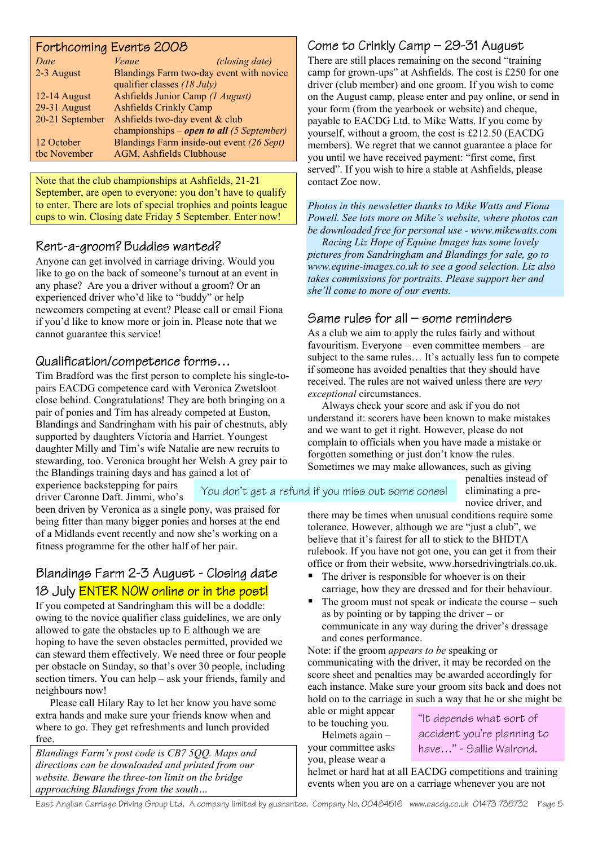## Forthcoming Events 2008 *Date Venue (closing date)*  2-3 August Blandings Farm two-day event with novice qualifier classes *(18 July)*

| $12-14$ August  | Ashfields Junior Camp (1 August)            |
|-----------------|---------------------------------------------|
| 29-31 August    | <b>Ashfields Crinkly Camp</b>               |
| 20-21 September | Ashfields two-day event & club              |
|                 | championships – open to all $(5$ September) |
| 12 October      | Blandings Farm inside-out event (26 Sept)   |
| the November    | AGM, Ashfields Clubhouse                    |

Note that the club championships at Ashfields, 21-21 September, are open to everyone: you don't have to qualify to enter. There are lots of special trophies and points league cups to win. Closing date Friday 5 September. Enter now!

# Rent-a-groom? Buddies wanted?

Anyone can get involved in carriage driving. Would you like to go on the back of someone's turnout at an event in any phase? Are you a driver without a groom? Or an experienced driver who'd like to "buddy" or help newcomers competing at event? Please call or email Fiona if you'd like to know more or join in. Please note that we cannot guarantee this service!

# Qualification/competence forms…

Tim Bradford was the first person to complete his single-topairs EACDG competence card with Veronica Zwetsloot close behind. Congratulations! They are both bringing on a pair of ponies and Tim has already competed at Euston, Blandings and Sandringham with his pair of chestnuts, ably supported by daughters Victoria and Harriet. Youngest daughter Milly and Tim's wife Natalie are new recruits to stewarding, too. Veronica brought her Welsh A grey pair to the Blandings training days and has gained a lot of

experience backstepping for pairs driver Caronne Daft. Jimmi, who's You don't get a refund if you miss out some cones!

been driven by Veronica as a single pony, was praised for being fitter than many bigger ponies and horses at the end of a Midlands event recently and now she's working on a fitness programme for the other half of her pair.

# Blandings Farm 2-3 August - Closing date 18 July **ENTER NOW online or in the post!**

If you competed at Sandringham this will be a doddle: owing to the novice qualifier class guidelines, we are only allowed to gate the obstacles up to E although we are hoping to have the seven obstacles permitted, provided we can steward them effectively. We need three or four people per obstacle on Sunday, so that's over 30 people, including section timers. You can help – ask your friends, family and neighbours now!

 Please call Hilary Ray to let her know you have some extra hands and make sure your friends know when and where to go. They get refreshments and lunch provided free.

*Blandings Farm's post code is CB7 5QQ. Maps and directions can be downloaded and printed from our website. Beware the three-ton limit on the bridge approaching Blandings from the south…* 

# Come to Crinkly Camp – 29-31 August

There are still places remaining on the second "training camp for grown-ups" at Ashfields. The cost is £250 for one driver (club member) and one groom. If you wish to come on the August camp, please enter and pay online, or send in your form (from the yearbook or website) and cheque, payable to EACDG Ltd. to Mike Watts. If you come by yourself, without a groom, the cost is £212.50 (EACDG members). We regret that we cannot guarantee a place for you until we have received payment: "first come, first served". If you wish to hire a stable at Ashfields, please contact Zoe now.

*Photos in this newsletter thanks to Mike Watts and Fiona Powell. See lots more on Mike's website, where photos can be downloaded free for personal use - [www.mikewatts.com](http://www.mikewatts.com/)*

 *Racing Liz Hope of Equine Images has some lovely pictures from Sandringham and Blandings for sale, go to [www.equine-images.co.uk](http://www.equine-images.co.uk/) to see a good selection. Liz also takes commissions for portraits. Please support her and she'll come to more of our events.* 

## Same rules for all – some reminders

As a club we aim to apply the rules fairly and without favouritism. Everyone – even committee members – are subject to the same rules... It's actually less fun to compete if someone has avoided penalties that they should have received. The rules are not waived unless there are *very exceptional* circumstances.

 Always check your score and ask if you do not understand it: scorers have been known to make mistakes and we want to get it right. However, please do not complain to officials when you have made a mistake or forgotten something or just don't know the rules. Sometimes we may make allowances, such as giving

penalties instead of eliminating a prenovice driver, and

there may be times when unusual conditions require some tolerance. However, although we are "just a club", we believe that it's fairest for all to stick to the BHDTA rulebook. If you have not got one, you can get it from their office or from their website, [www.horsedrivingtrials.co.uk.](http://www.horsedrivingtrials.co.uk/)

- The driver is responsible for whoever is on their carriage, how they are dressed and for their behaviour.
- The groom must not speak or indicate the course such as by pointing or by tapping the driver – or communicate in any way during the driver's dressage and cones performance.

Note: if the groom *appears to be* speaking or communicating with the driver, it may be recorded on the score sheet and penalties may be awarded accordingly for each instance. Make sure your groom sits back and does not hold on to the carriage in such a way that he or she might be

able or might appear to be touching you.

 Helmets again – your committee asks you, please wear a

"It depends what sort of accident you're planning to have…" - Sallie Walrond.

helmet or hard hat at all EACDG competitions and training events when you are on a carriage whenever you are not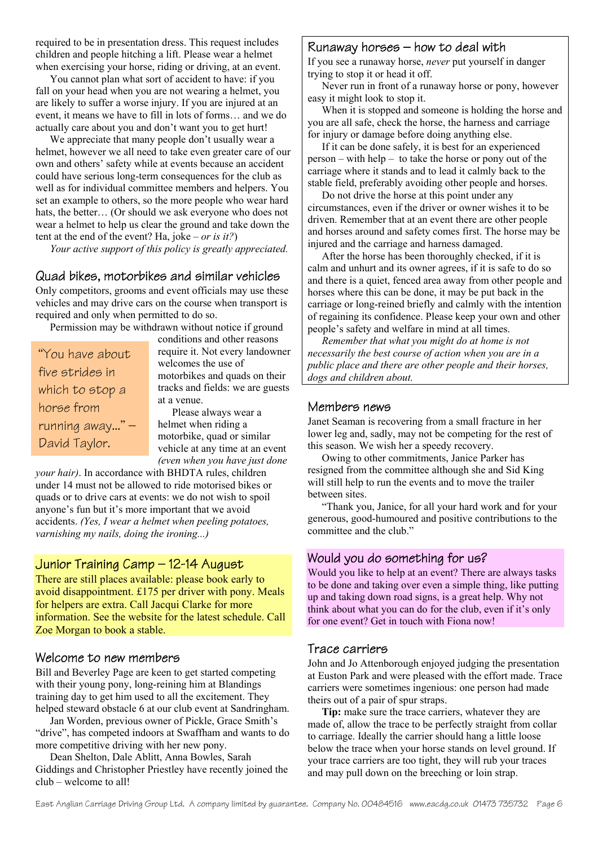required to be in presentation dress. This request includes children and people hitching a lift. Please wear a helmet when exercising your horse, riding or driving, at an event.

 You cannot plan what sort of accident to have: if you fall on your head when you are not wearing a helmet, you are likely to suffer a worse injury. If you are injured at an event, it means we have to fill in lots of forms… and we do actually care about you and don't want you to get hurt!

We appreciate that many people don't usually wear a helmet, however we all need to take even greater care of our own and others' safety while at events because an accident could have serious long-term consequences for the club as well as for individual committee members and helpers. You set an example to others, so the more people who wear hard hats, the better… (Or should we ask everyone who does not wear a helmet to help us clear the ground and take down the tent at the end of the event? Ha, joke – *or is it?*)

 *Your active support of this policy is greatly appreciated.* 

## Quad bikes, motorbikes and similar vehicles

Only competitors, grooms and event officials may use these vehicles and may drive cars on the course when transport is required and only when permitted to do so.

Permission may be withdrawn without notice if ground

| "You have about   |
|-------------------|
| five strides in   |
| which to stop a   |
| horse from        |
| running away" $-$ |
| David Taylor.     |

conditions and other reasons require it. Not every landowner welcomes the use of motorbikes and quads on their tracks and fields: we are guests at a venue.

 Please always wear a helmet when riding a motorbike, quad or similar vehicle at any time at an event *(even when you have just done* 

*your hair)*. In accordance with BHDTA rules, children under 14 must not be allowed to ride motorised bikes or quads or to drive cars at events: we do not wish to spoil anyone's fun but it's more important that we avoid accidents. *(Yes, I wear a helmet when peeling potatoes, varnishing my nails, doing the ironing...)* 

## Junior Training Camp – 12-14 August

There are still places available: please book early to avoid disappointment. £175 per driver with pony. Meals for helpers are extra. Call Jacqui Clarke for more information. See the website for the latest schedule. Call Zoe Morgan to book a stable.

#### Welcome to new members

Bill and Beverley Page are keen to get started competing with their young pony, long-reining him at Blandings training day to get him used to all the excitement. They helped steward obstacle 6 at our club event at Sandringham.

 Jan Worden, previous owner of Pickle, Grace Smith's "drive", has competed indoors at Swaffham and wants to do more competitive driving with her new pony.

 Dean Shelton, Dale Ablitt, Anna Bowles, Sarah Giddings and Christopher Priestley have recently joined the club – welcome to all!

#### Runaway horses – how to deal with

If you see a runaway horse, *never* put yourself in danger trying to stop it or head it off.

 Never run in front of a runaway horse or pony, however easy it might look to stop it.

 When it is stopped and someone is holding the horse and you are all safe, check the horse, the harness and carriage for injury or damage before doing anything else.

 If it can be done safely, it is best for an experienced person – with help – to take the horse or pony out of the carriage where it stands and to lead it calmly back to the stable field, preferably avoiding other people and horses.

 Do not drive the horse at this point under any circumstances, even if the driver or owner wishes it to be driven. Remember that at an event there are other people and horses around and safety comes first. The horse may be injured and the carriage and harness damaged.

 After the horse has been thoroughly checked, if it is calm and unhurt and its owner agrees, if it is safe to do so and there is a quiet, fenced area away from other people and horses where this can be done, it may be put back in the carriage or long-reined briefly and calmly with the intention of regaining its confidence. Please keep your own and other people's safety and welfare in mind at all times.

 *Remember that what you might do at home is not necessarily the best course of action when you are in a public place and there are other people and their horses, dogs and children about.* 

#### Members news

Janet Seaman is recovering from a small fracture in her lower leg and, sadly, may not be competing for the rest of this season. We wish her a speedy recovery.

 Owing to other commitments, Janice Parker has resigned from the committee although she and Sid King will still help to run the events and to move the trailer between sites.

 "Thank you, Janice, for all your hard work and for your generous, good-humoured and positive contributions to the committee and the club."

#### Would you do something for us?

Would you like to help at an event? There are always tasks to be done and taking over even a simple thing, like putting up and taking down road signs, is a great help. Why not think about what you can do for the club, even if it's only for one event? Get in touch with Fiona now!

#### Trace carriers

John and Jo Attenborough enjoyed judging the presentation at Euston Park and were pleased with the effort made. Trace carriers were sometimes ingenious: one person had made theirs out of a pair of spur straps.

**Tip:** make sure the trace carriers, whatever they are made of, allow the trace to be perfectly straight from collar to carriage. Ideally the carrier should hang a little loose below the trace when your horse stands on level ground. If your trace carriers are too tight, they will rub your traces and may pull down on the breeching or loin strap.